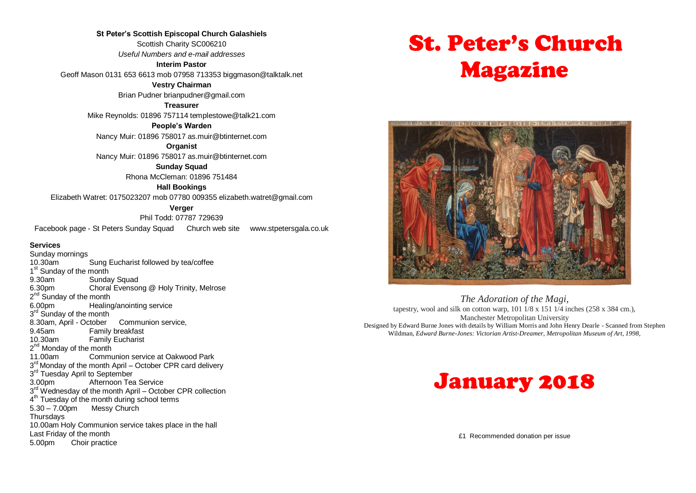**St Peter's Scottish Episcopal Church Galashiels** Scottish Charity SC006210 *Useful Numbers and e-mail addresses*

**Interim Pastor**

Geoff Mason 0131 653 6613 mob 07958 713353 biggmason@talktalk.net

**Vestry Chairman**

Brian Pudner brianpudner@gmail.com

**Treasurer**

Mike Reynolds: 01896 757114 templestowe@talk21.com

**People's Warden**

Nancy Muir: 01896 758017 as.muir@btinternet.com

**Organist**

Nancy Muir: 01896 758017 as.muir@btinternet.com

**Sunday Squad** Rhona McCleman: 01896 751484

**Hall Bookings**

Elizabeth Watret: 0175023207 mob 07780 009355 elizabeth.watret@gmail.com

**Verger**

Phil Todd: 07787 729639 Facebook page - St Peters Sunday Squad Church web site www.stpetersgala.co.uk

#### **Services**

Sunday mornings 10.30am Sung Eucharist followed by tea/coffee 1<sup>st</sup> Sunday of the month 9.30am Sunday Squad<br>6.30pm Choral Evensor Choral Evensong @ Holy Trinity, Melrose 2<sup>nd</sup> Sunday of the month 6.00pm Healing/anointing service 3<sup>rd</sup> Sunday of the month 8.30am, April - October Communion service, 9.45am Family breakfast<br>10.30am Family Fucharist **Family Eucharist** 2<sup>nd</sup> Monday of the month 11.00am Communion service at Oakwood Park 3<sup>rd</sup> Monday of the month April – October CPR card delivery 3<sup>rd</sup> Tuesday April to September 3.00pm Afternoon Tea Service 3<sup>rd</sup> Wednesday of the month April – October CPR collection 4<sup>th</sup> Tuesday of the month during school terms 5.30 – 7.00pm Messy Church **Thursdays** 10.00am Holy Communion service takes place in the hall Last Friday of the month 5.00pm Choir practice

# St. Peter's Church Magazine



*The Adoration of the Magi*, tapestry, wool and silk on cotton warp,  $101 \frac{1}{8} \times 151 \frac{1}{4}$  inches (258 x 384 cm.), Manchester Metropolitan University Designed by Edward Burne Jones with details by William Morris and John Henry Dearle - Scanned from Stephen Wildman, *Edward Burne-Jones: Victorian Artist-Dreamer, Metropolitan Museum of Art, 1998,*



£1 Recommended donation per issue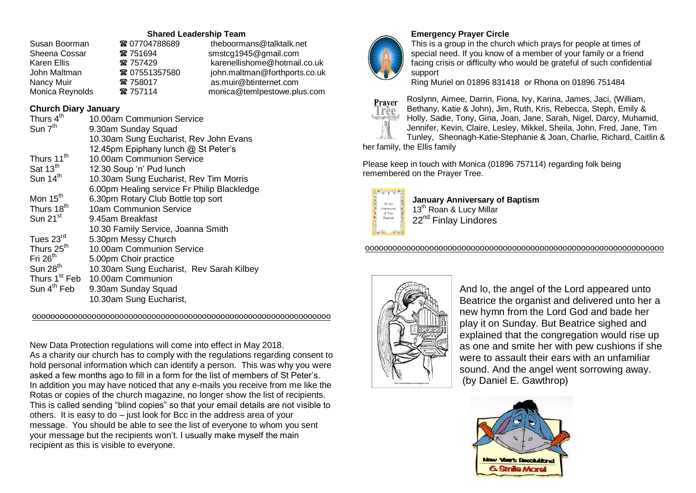#### **Shared Leadership Team**

| Susan Boorman      | ☎ 07704788689        | theboormans@talktalk.net      |
|--------------------|----------------------|-------------------------------|
| Sheena Cossar      | ☎ 751694             | smstcg1945@gmail.com          |
| <b>Karen Ellis</b> | ☎ 757429             | karenellishome@hotmail.co.uk  |
| John Maltman       | <b>露 07551357580</b> | john.maltman@forthports.co.uk |
| Nancy Muir         | ☎ 758017             | as.muir@btinternet.com        |
| Monica Reynolds    | ☎ 757114             | monica@temlpestowe.plus.com   |

#### **Church Diary January**

| Thurs 4 <sup>th</sup>     | 10.00am Communion Service                   |  |
|---------------------------|---------------------------------------------|--|
| Sun 7 <sup>th</sup>       | 9.30am Sunday Squad                         |  |
|                           | 10.30am Sung Eucharist, Rev John Evans      |  |
|                           | 12.45pm Epiphany lunch @ St Peter's         |  |
| Thurs 11 <sup>th</sup>    | 10.00am Communion Service                   |  |
| Sat $13th$                | 12.30 Soup 'n' Pud lunch                    |  |
| Sun 14 <sup>th</sup>      | 10.30am Sung Eucharist, Rev Tim Morris      |  |
|                           | 6.00pm Healing service Fr Philip Blackledge |  |
| Mon 15 <sup>th</sup>      | 6.30pm Rotary Club Bottle top sort          |  |
| Thurs 18 <sup>th</sup>    | 10am Communion Service                      |  |
| Sun 21 <sup>st</sup>      | 9.45am Breakfast                            |  |
|                           | 10.30 Family Service, Joanna Smith          |  |
| Tues 23rd                 | 5.30pm Messy Church                         |  |
| Thurs 25 <sup>th</sup>    | 10.00am Communion Service                   |  |
| Fri 26 <sup>th</sup>      | 5.00pm Choir practice                       |  |
| Sun $28th$                | 10.30am Sung Eucharist, Rev Sarah Kilbey    |  |
| Thurs 1 <sup>st</sup> Feb | 10.00am Communion                           |  |
| Sun $4^{\text{th}}$ Feb   | 9.30am Sunday Squad                         |  |
|                           | 10.30am Sung Eucharist,                     |  |

ooooooooooooooooooooooooooooooooooooooooooooooooooooooooooooooooo

New Data Protection regulations will come into effect in May 2018. As a charity our church has to comply with the regulations regarding consent to hold personal information which can identify a person. This was why you were asked a few months ago to fill in a form for the list of members of St Peter's. In addition you may have noticed that any e-mails you receive from me like the Rotas or copies of the church magazine, no longer show the list of recipients. This is called sending "blind copies" so that your email details are not visible to others. It is easy to do – just look for Bcc in the address area of your message. You should be able to see the list of everyone to whom you sent your message but the recipients won't. I usually make myself the main recipient as this is visible to everyone.



#### **Emergency Prayer Circle**

This is a group in the church which prays for people at times of special need. If you know of a member of your family or a friend facing crisis or difficulty who would be grateful of such confidential support

Ring Muriel on 01896 831418 or Rhona on 01896 751484



Roslynn, Aimee, Darrin, Fiona, Ivy, Karina, James, Jaci, (William, Bethany, Katie & John), Jim, Ruth, Kris, Rebecca, Steph, Emily & Holly, Sadie, Tony, Gina, Joan, Jane, Sarah, Nigel, Darcy, Muhamid, Jennifer, Kevin, Claire, Lesley, Mikkel, Sheila, John, Fred, Jane, Tim Tunley, Sheonagh-Katie-Stephanie & Joan, Charlie, Richard, Caitlin &

her family, the Ellis family

Please keep in touch with Monica (01896 757114) regarding folk being remembered on the Prayer Tree.



**January Anniversary of Baptism** 13<sup>th</sup> Roan & Lucy Millar 22<sup>nd</sup> Finlay Lindores

ooooooooooooooooooooooooooooooooooooooooooooooooooooooooooooooooo



And lo, the angel of the Lord appeared unto Beatrice the organist and delivered unto her a new hymn from the Lord God and bade her play it on Sunday. But Beatrice sighed and explained that the congregation would rise up as one and smite her with pew cushions if she were to assault their ears with an unfamiliar sound. And the angel went sorrowing away. (by Daniel E. Gawthrop)

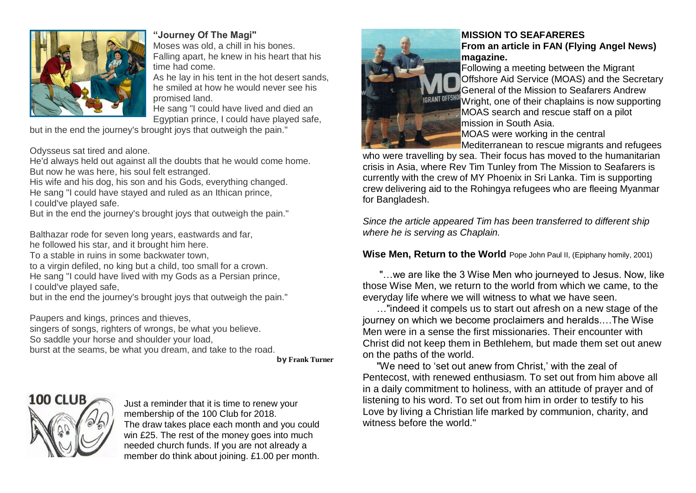

# **"Journey Of The Magi"**

Moses was old, a chill in his bones. Falling apart, he knew in his heart that his time had come.

As he lay in his tent in the hot desert sands, he smiled at how he would never see his promised land.

He sang "I could have lived and died an

Egyptian prince, I could have played safe,

but in the end the journey's brought joys that outweigh the pain."

## Odysseus sat tired and alone.

He'd always held out against all the doubts that he would come home. But now he was here, his soul felt estranged.

His wife and his dog, his son and his Gods, everything changed.

He sang "I could have stayed and ruled as an Ithican prince, I could've played safe.

But in the end the journey's brought joys that outweigh the pain."

Balthazar rode for seven long years, eastwards and far, he followed his star, and it brought him here. To a stable in ruins in some backwater town, to a virgin defiled, no king but a child, too small for a crown. He sang "I could have lived with my Gods as a Persian prince, I could've played safe, but in the end the journey's brought joys that outweigh the pain."

Paupers and kings, princes and thieves, singers of songs, righters of wrongs, be what you believe. So saddle your horse and shoulder your load, burst at the seams, be what you dream, and take to the road.

**by Frank Turner**

100 CLUE

Just a reminder that it is time to renew your membership of the 100 Club for 2018. The draw takes place each month and you could win £25. The rest of the money goes into much needed church funds. If you are not already a member do think about joining. £1.00 per month.



#### **MISSION TO SEAFARERES From an article in FAN (Flying Angel News) magazine.**

Following a meeting between the Migrant Offshore Aid Service (MOAS) and the Secretary General of the Mission to Seafarers Andrew Wright, one of their chaplains is now supporting MOAS search and rescue staff on a pilot mission in South Asia. MOAS were working in the central

Mediterranean to rescue migrants and refugees

who were travelling by sea. Their focus has moved to the humanitarian crisis in Asia, where Rev Tim Tunley from The Mission to Seafarers is currently with the crew of MY Phoenix in Sri Lanka. Tim is supporting crew delivering aid to the Rohingya refugees who are fleeing Myanmar for Bangladesh.

*Since the article appeared Tim has been transferred to different ship where he is serving as Chaplain.*

**Wise Men, Return to the World** Pope John Paul II, (Epiphany homily, 2001)

 "…we are like the 3 Wise Men who journeyed to Jesus. Now, like those Wise Men, we return to the world from which we came, to the everyday life where we will witness to what we have seen.

 …"indeed it compels us to start out afresh on a new stage of the journey on which we become proclaimers and heralds.…The Wise Men were in a sense the first missionaries. Their encounter with Christ did not keep them in Bethlehem, but made them set out anew on the paths of the world.

 "We need to 'set out anew from Christ,' with the zeal of Pentecost, with renewed enthusiasm. To set out from him above all in a daily commitment to holiness, with an attitude of prayer and of listening to his word. To set out from him in order to testify to his Love by living a Christian life marked by communion, charity, and witness before the world."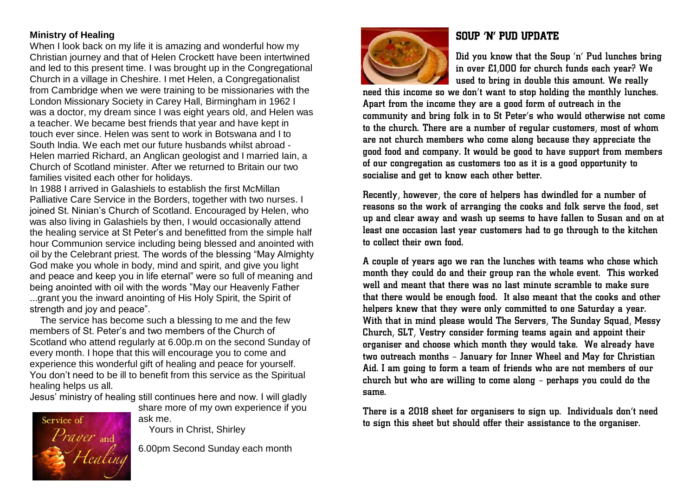#### **Ministry of Healing**

When I look back on my life it is amazing and wonderful how my Christian journey and that of Helen Crockett have been intertwined and led to this present time. I was brought up in the Congregational Church in a village in Cheshire. I met Helen, a Congregationalist from Cambridge when we were training to be missionaries with the London Missionary Society in Carey Hall, Birmingham in 1962 I was a doctor, my dream since I was eight years old, and Helen was a teacher. We became best friends that year and have kept in touch ever since. Helen was sent to work in Botswana and I to South India. We each met our future husbands whilst abroad - Helen married Richard, an Anglican geologist and I married Iain, a Church of Scotland minister. After we returned to Britain our two families visited each other for holidays.

In 1988 I arrived in Galashiels to establish the first McMillan Palliative Care Service in the Borders, together with two nurses. I joined St. Ninian's Church of Scotland. Encouraged by Helen, who was also living in Galashiels by then, I would occasionally attend the healing service at St Peter's and benefitted from the simple half hour Communion service including being blessed and anointed with oil by the Celebrant priest. The words of the blessing "May Almighty God make you whole in body, mind and spirit, and give you light and peace and keep you in life eternal" were so full of meaning and being anointed with oil with the words "May our Heavenly Father ...grant you the inward anointing of His Holy Spirit, the Spirit of strength and joy and peace".

The service has become such a blessing to me and the few members of St. Peter's and two members of the Church of Scotland who attend regularly at 6.00p.m on the second Sunday of every month. I hope that this will encourage you to come and experience this wonderful gift of healing and peace for yourself. You don't need to be ill to benefit from this service as the Spiritual healing helps us all.

Jesus' ministry of healing still continues here and now. I will gladly

Service of *Prayer* and Healing share more of my own experience if you ask me. Yours in Christ, Shirley

6.00pm Second Sunday each month



# SOUP 'N' PUD UPDATE

Did you know that the Soup 'n' Pud lunches bring in over £1,000 for church funds each year? We used to bring in double this amount. We really

need this income so we don't want to stop holding the monthly lunches. Apart from the income they are a good form of outreach in the community and bring folk in to St Peter's who would otherwise not come to the church. There are a number of regular customers, most of whom are not church members who come along because they appreciate the good food and company. It would be good to have support from members of our congregation as customers too as it is a good opportunity to socialise and get to know each other better.

Recently, however, the core of helpers has dwindled for a number of reasons so the work of arranging the cooks and folk serve the food, set up and clear away and wash up seems to have fallen to Susan and on at least one occasion last year customers had to go through to the kitchen to collect their own food.

A couple of years ago we ran the lunches with teams who chose which month they could do and their group ran the whole event. This worked well and meant that there was no last minute scramble to make sure that there would be enough food. It also meant that the cooks and other helpers knew that they were only committed to one Saturday a year. With that in mind please would The Servers, The Sunday Squad, Messy Church, SLT, Vestry consider forming teams again and appoint their organiser and choose which month they would take. We already have two outreach months – January for Inner Wheel and May for Christian Aid. I am going to form a team of friends who are not members of our church but who are willing to come along – perhaps you could do the same.

There is a 2018 sheet for organisers to sign up. Individuals don't need to sign this sheet but should offer their assistance to the organiser.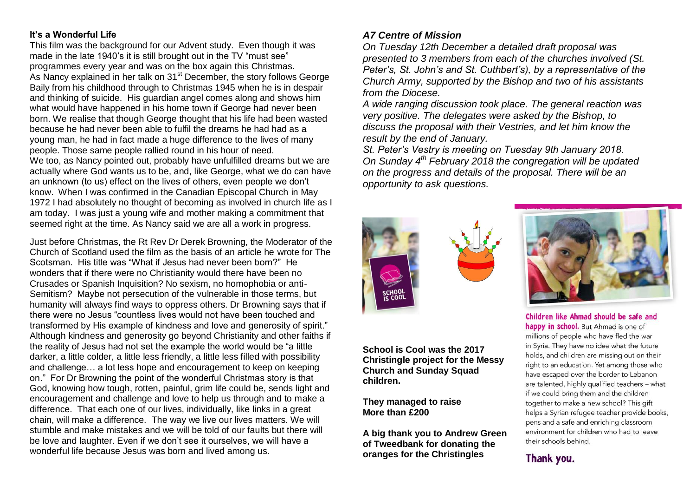#### **It's a Wonderful Life**

This film was the background for our Advent study. Even though it was made in the late 1940's it is still brought out in the TV "must see" programmes every year and was on the box again this Christmas. As Nancy explained in her talk on 31<sup>st</sup> December, the story follows George Baily from his childhood through to Christmas 1945 when he is in despair and thinking of suicide. His guardian angel comes along and shows him what would have happened in his home town if George had never been born. We realise that though George thought that his life had been wasted because he had never been able to fulfil the dreams he had had as a young man, he had in fact made a huge difference to the lives of many people. Those same people rallied round in his hour of need. We too, as Nancy pointed out, probably have unfulfilled dreams but we are

actually where God wants us to be, and, like George, what we do can have an unknown (to us) effect on the lives of others, even people we don't know. When I was confirmed in the Canadian Episcopal Church in May 1972 I had absolutely no thought of becoming as involved in church life as I am today. I was just a young wife and mother making a commitment that seemed right at the time. As Nancy said we are all a work in progress.

Just before Christmas, the Rt Rev Dr Derek Browning, the Moderator of the Church of Scotland used the film as the basis of an article he wrote for The Scotsman. His title was "What if Jesus had never been born?" He wonders that if there were no Christianity would there have been no Crusades or Spanish Inquisition? No sexism, no homophobia or anti-Semitism? Maybe not persecution of the vulnerable in those terms, but humanity will always find ways to oppress others. Dr Browning says that if there were no Jesus "countless lives would not have been touched and transformed by His example of kindness and love and generosity of spirit." Although kindness and generosity go beyond Christianity and other faiths if the reality of Jesus had not set the example the world would be "a little darker, a little colder, a little less friendly, a little less filled with possibility and challenge… a lot less hope and encouragement to keep on keeping on." For Dr Browning the point of the wonderful Christmas story is that God, knowing how tough, rotten, painful, grim life could be, sends light and encouragement and challenge and love to help us through and to make a difference. That each one of our lives, individually, like links in a great chain, will make a difference. The way we live our lives matters. We will stumble and make mistakes and we will be told of our faults but there will be love and laughter. Even if we don't see it ourselves, we will have a wonderful life because Jesus was born and lived among us.

### *A7 Centre of Mission*

*On Tuesday 12th December a detailed draft proposal was presented to 3 members from each of the churches involved (St. Peter's, St. John's and St. Cuthbert's), by a representative of the Church Army, supported by the Bishop and two of his assistants from the Diocese.*

*A wide ranging discussion took place. The general reaction was very positive. The delegates were asked by the Bishop, to discuss the proposal with their Vestries, and let him know the result by the end of January.*

*St. Peter's Vestry is meeting on Tuesday 9th January 2018. On Sunday 4th February 2018 the congregation will be updated on the progress and details of the proposal. There will be an opportunity to ask questions.*





**They managed to raise More than £200**

**A big thank you to Andrew Green of Tweedbank for donating the oranges for the Christingles**



Children like Ahmad should be safe and happy in school. But Ahmad is one of millions of people who have fled the war in Syria. They have no idea what the future holds, and children are missing out on their right to an education. Yet among those who have escaped over the border to Lebanon are talented, highly qualified teachers - what if we could bring them and the children together to make a new school? This gift helps a Syrian refugee teacher provide books, pens and a safe and enriching classroom environment for children who had to leave their schools behind.

Thank you.